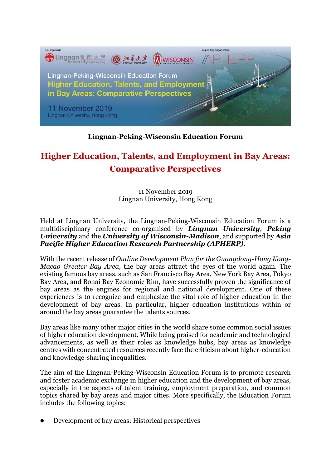

## **Lingnan-Peking-Wisconsin Education Forum**

# **Higher Education, Talents, and Employment in Bay Areas: Comparative Perspectives**

11 November 2019 Lingnan University, Hong Kong

Held at Lingnan University, the Lingnan-Peking-Wisconsin Education Forum is a multidisciplinary conference co-organised by *Lingnan University*, *Peking University* and the *University of Wisconsin-Madison*, and supported by *Asia Pacific Higher Education Research Partnership (APHERP)*.

With the recent release of *Outline Development Plan for the Guangdong-Hong Kong-Macao Greater Bay Area*, the bay areas attract the eyes of the world again. The existing famous bay areas, such as San Francisco Bay Area, New York Bay Area, Tokyo Bay Area, and Bohai Bay Economic Rim, have successfully proven the significance of bay areas as the engines for regional and national development. One of these experiences is to recognize and emphasize the vital role of higher education in the development of bay areas. In particular, higher education institutions within or around the bay areas guarantee the talents sources.

Bay areas like many other major cities in the world share some common social issues of higher education development. While being praised for academic and technological advancements, as well as their roles as knowledge hubs, bay areas as knowledge centres with concentrated resources recently face the criticism about higher-education and knowledge-sharing inequalities.

The aim of the Lingnan-Peking-Wisconsin Education Forum is to promote research and foster academic exchange in higher education and the development of bay areas, especially in the aspects of talent training, employment preparation, and common topics shared by bay areas and major cities. More specifically, the Education Forum includes the following topics:

⚫ Development of bay areas: Historical perspectives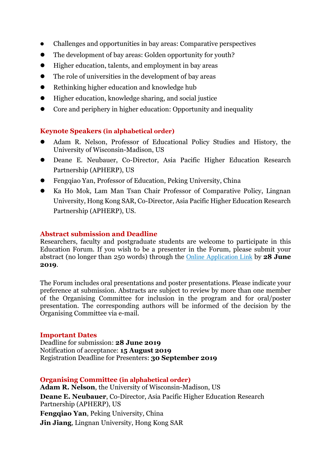- ⚫ Challenges and opportunities in bay areas: Comparative perspectives
- ⚫ The development of bay areas: Golden opportunity for youth?
- ⚫ Higher education, talents, and employment in bay areas
- ⚫ The role of universities in the development of bay areas
- ⚫ Rethinking higher education and knowledge hub
- ⚫ Higher education, knowledge sharing, and social justice
- Core and periphery in higher education: Opportunity and inequality

## **Keynote Speakers (in alphabetical order)**

- ⚫ Adam R. Nelson, Professor of Educational Policy Studies and History, the University of Wisconsin-Madison, US
- ⚫ Deane E. Neubauer, Co-Director, Asia Pacific Higher Education Research Partnership (APHERP), US
- ⚫ Fengqiao Yan, Professor of Education, Peking University, China
- ⚫ Ka Ho Mok, Lam Man Tsan Chair Professor of Comparative Policy, Lingnan University, Hong Kong SAR, Co-Director, Asia Pacific Higher Education Research Partnership (APHERP), US.

#### **Abstract submission and Deadline**

Researchers, faculty and postgraduate students are welcome to participate in this Education Forum. If you wish to be a presenter in the Forum, please submit your abstract (no longer than 250 words) through the [Online Application Link](http://lingnan.au1.qualtrics.com/jfe/form/SV_2sFh1RS8ANuBlbL) by **28 June 2019**.

The Forum includes oral presentations and poster presentations. Please indicate your preference at submission. Abstracts are subject to review by more than one member of the Organising Committee for inclusion in the program and for oral/poster presentation. The corresponding authors will be informed of the decision by the Organising Committee via e-mail.

#### **Important Dates**

Deadline for submission: **28 June 2019** Notification of acceptance: **15 August 2019** Registration Deadline for Presenters: **30 September 2019**

## **Organising Committee (in alphabetical order) Adam R. Nelson**, the University of Wisconsin-Madison, US **Deane E. Neubauer**, Co-Director, Asia Pacific Higher Education Research Partnership (APHERP), US **Fengqiao Yan**, Peking University, China **Jin Jiang**, Lingnan University, Hong Kong SAR